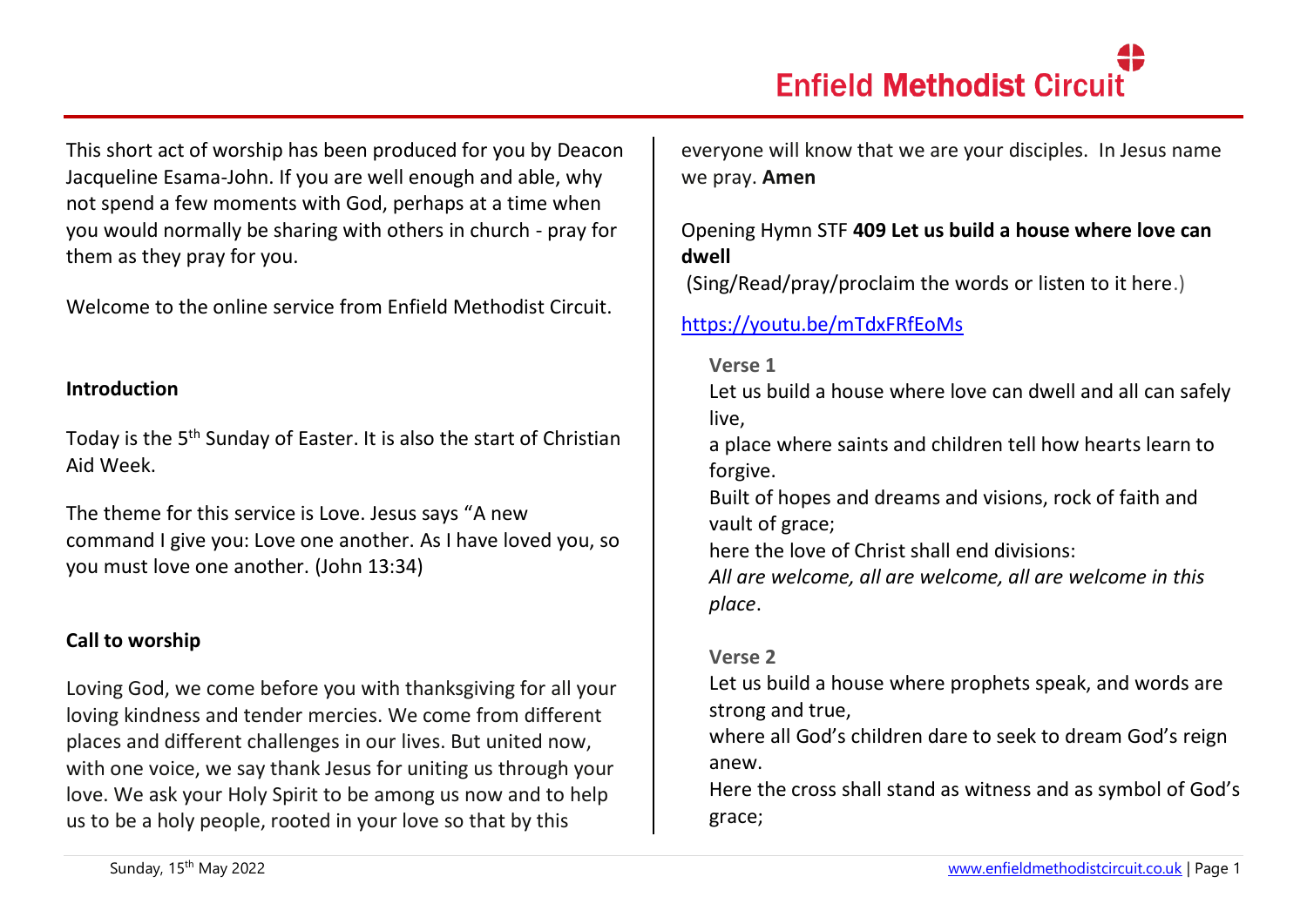This short act of worship has been produced for you by Deacon Jacqueline Esama-John. If you are well enough and able, why not spend a few moments with God, perhaps at a time when you would normally be sharing with others in church - pray for them as they pray for you.

Welcome to the online service from Enfield Methodist Circuit.

### **Introduction**

Today is the 5<sup>th</sup> Sunday of Easter. It is also the start of Christian Aid Week.

The theme for this service is Love. Jesus says "A new command I give you: Love one another. As I have loved you, so you must love one another. (John 13:34)

# **Call to worship**

Loving God, we come before you with thanksgiving for all your loving kindness and tender mercies. We come from different places and different challenges in our lives. But united now, with one voice, we say thank Jesus for uniting us through your love. We ask your Holy Spirit to be among us now and to help us to be a holy people, rooted in your love so that by this

everyone will know that we are your disciples. In Jesus name we pray. **Amen**

## Opening Hymn STF **409 Let us build a house where love can dwell**

(Sing/Read/pray/proclaim the words or listen to it here.)

## <https://youtu.be/mTdxFRfEoMs>

#### **Verse 1**

Let us build a house where love can dwell and all can safely live,

a place where saints and children tell how hearts learn to forgive.

Built of hopes and dreams and visions, rock of faith and vault of grace;

here the love of Christ shall end divisions:

*All are welcome, all are welcome, all are welcome in this place*.

## **Verse 2**

Let us build a house where prophets speak, and words are strong and true,

where all God's children dare to seek to dream God's reign anew.

Here the cross shall stand as witness and as symbol of God's grace;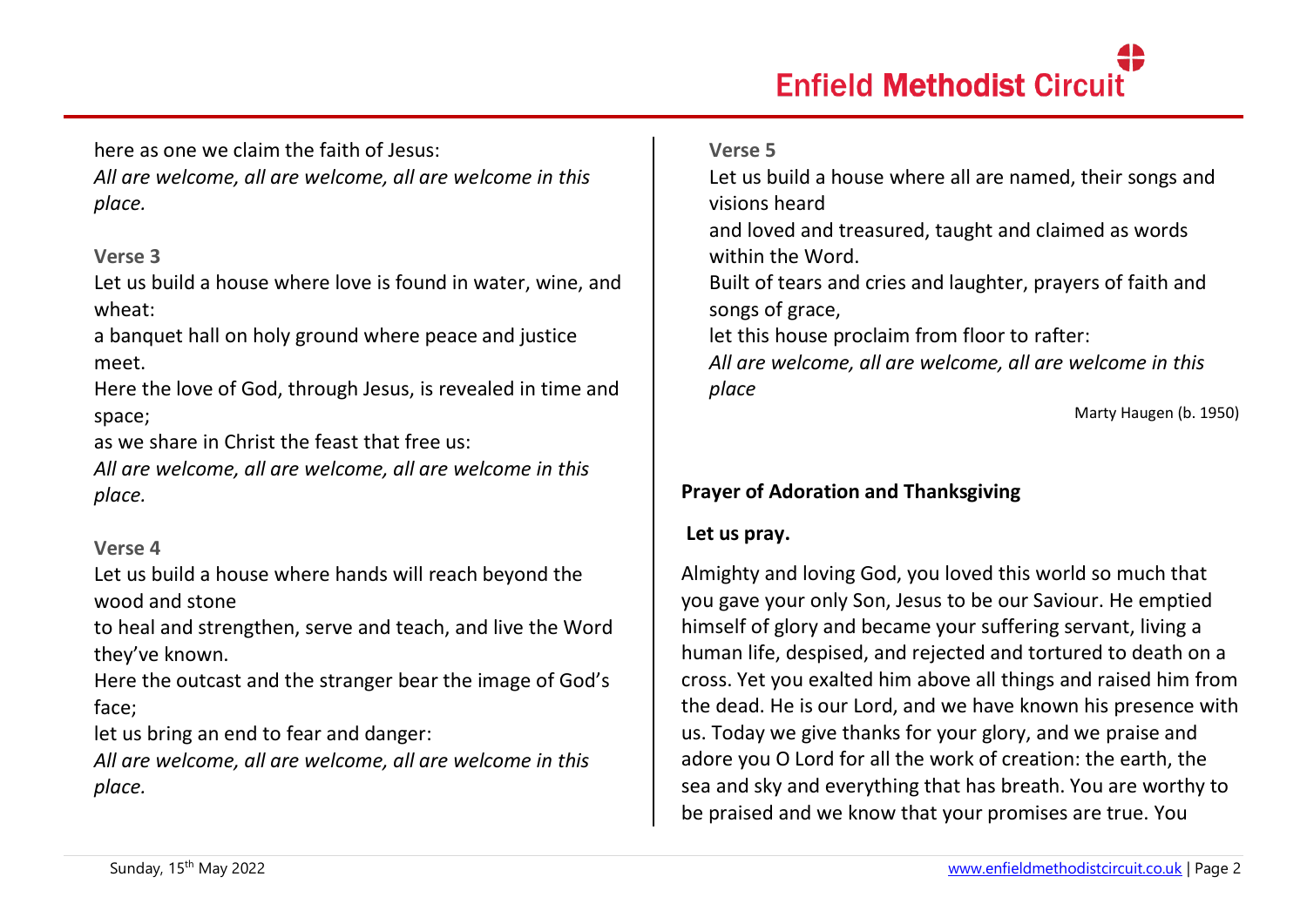here as one we claim the faith of Jesus: *All are welcome, all are welcome, all are welcome in this place.*

### **Verse 3**

Let us build a house where love is found in water, wine, and wheat:

a banquet hall on holy ground where peace and justice meet.

Here the love of God, through Jesus, is revealed in time and space;

as we share in Christ the feast that free us:

*All are welcome, all are welcome, all are welcome in this place.*

## **Verse 4**

Let us build a house where hands will reach beyond the wood and stone

to heal and strengthen, serve and teach, and live the Word they've known.

Here the outcast and the stranger bear the image of God's face;

let us bring an end to fear and danger:

*All are welcome, all are welcome, all are welcome in this place.*

## **Verse 5**

Let us build a house where all are named, their songs and visions heard

and loved and treasured, taught and claimed as words within the Word.

Built of tears and cries and laughter, prayers of faith and songs of grace,

let this house proclaim from floor to rafter:

*All are welcome, all are welcome, all are welcome in this place*

Marty Haugen (b. 1950)

# **Prayer of Adoration and Thanksgiving**

## **Let us pray.**

Almighty and loving God, you loved this world so much that you gave your only Son, Jesus to be our Saviour. He emptied himself of glory and became your suffering servant, living a human life, despised, and rejected and tortured to death on a cross. Yet you exalted him above all things and raised him from the dead. He is our Lord, and we have known his presence with us. Today we give thanks for your glory, and we praise and adore you O Lord for all the work of creation: the earth, the sea and sky and everything that has breath. You are worthy to be praised and we know that your promises are true. You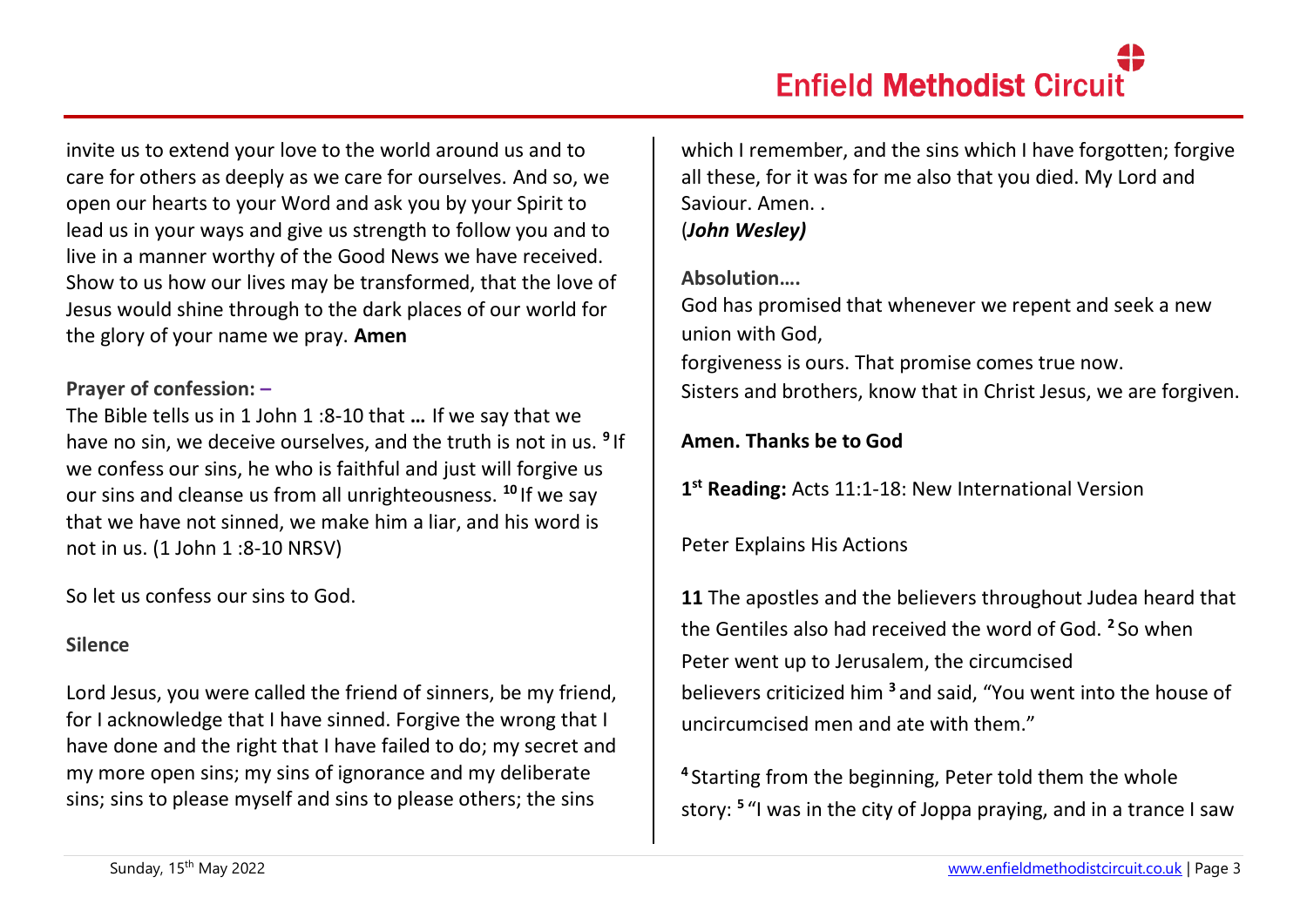invite us to extend your love to the world around us and to care for others as deeply as we care for ourselves. And so, we open our hearts to your Word and ask you by your Spirit to lead us in your ways and give us strength to follow you and to live in a manner worthy of the Good News we have received. Show to us how our lives may be transformed, that the love of Jesus would shine through to the dark places of our world for the glory of your name we pray. **Amen**

## **Prayer of confession: –**

The Bible tells us in 1 John 1 :8-10 that **…** If we say that we have no sin, we deceive ourselves, and the truth is not in us. **<sup>9</sup>** If we confess our sins, he who is faithful and just will forgive us our sins and cleanse us from all unrighteousness. **<sup>10</sup>** If we say that we have not sinned, we make him a liar, and his word is not in us. (1 John 1 :8-10 NRSV)

So let us confess our sins to God.

## **Silence**

Lord Jesus, you were called the friend of sinners, be my friend, for I acknowledge that I have sinned. Forgive the wrong that I have done and the right that I have failed to do; my secret and my more open sins; my sins of ignorance and my deliberate sins; sins to please myself and sins to please others; the sins

which I remember, and the sins which I have forgotten; forgive all these, for it was for me also that you died. My Lord and Saviour. Amen. . (*John Wesley)*

## **Absolution….**

God has promised that whenever we repent and seek a new union with God, forgiveness is ours. That promise comes true now. Sisters and brothers, know that in Christ Jesus, we are forgiven.

# **Amen. Thanks be to God**

**1 st Reading:** Acts 11:1-18: New International Version

# Peter Explains His Actions

**11** The apostles and the believers throughout Judea heard that the Gentiles also had received the word of God. **<sup>2</sup>** So when Peter went up to Jerusalem, the circumcised believers criticized him **<sup>3</sup>** and said, "You went into the house of uncircumcised men and ate with them."

**4** Starting from the beginning, Peter told them the whole story: **<sup>5</sup>** "I was in the city of Joppa praying, and in a trance I saw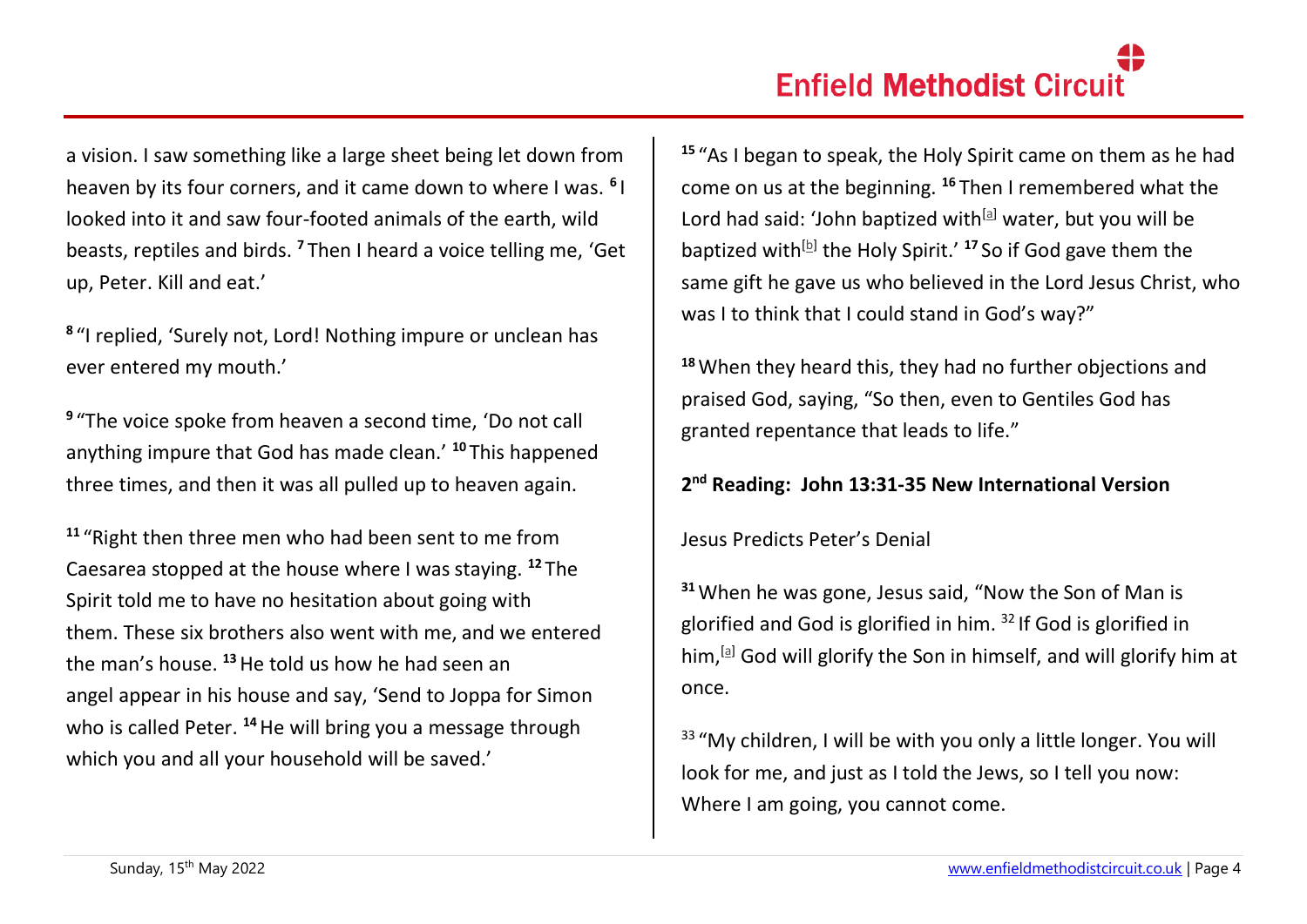a vision. I saw something like a large sheet being let down from heaven by its four corners, and it came down to where I was. **<sup>6</sup>** I looked into it and saw four-footed animals of the earth, wild beasts, reptiles and birds. **<sup>7</sup>** Then I heard a voice telling me, 'Get up, Peter. Kill and eat.'

**8** "I replied, 'Surely not, Lord! Nothing impure or unclean has ever entered my mouth.'

**9** "The voice spoke from heaven a second time, 'Do not call anything impure that God has made clean.' **<sup>10</sup>** This happened three times, and then it was all pulled up to heaven again.

**<sup>11</sup>** "Right then three men who had been sent to me from Caesarea stopped at the house where I was staying. **<sup>12</sup>** The Spirit told me to have no hesitation about going with them. These six brothers also went with me, and we entered the man's house. **<sup>13</sup>**He told us how he had seen an angel appear in his house and say, 'Send to Joppa for Simon who is called Peter. <sup>14</sup> He will bring you a message through which you and all your household will be saved.'

**<sup>15</sup>** "As I began to speak, the Holy Spirit came on them as he had come on us at the beginning. **<sup>16</sup>** Then I remembered what the Lord had said: 'John baptized with $[$ al water, but you will be baptized with<sup>[\[b\]](https://www.biblegateway.com/passage/?search=Acts+11%3A+1-18&version=NIV#fen-NIV-27324b)</sup> the Holy Spirit.' <sup>17</sup> So if God gave them the same gift he gave us who believed in the Lord Jesus Christ, who was I to think that I could stand in God's way?"

**<sup>18</sup>**When they heard this, they had no further objections and praised God, saying, "So then, even to Gentiles God has granted repentance that leads to life."

# **2 nd Reading: John 13:31-35 New International Version**

Jesus Predicts Peter's Denial

**<sup>31</sup>**When he was gone, Jesus said, "Now the Son of Man is glorified and God is glorified in him. <sup>32</sup> If God is glorified in him,  $[$ <sup>a</sup> God will glorify the Son in himself, and will glorify him at once.

 $33$  "My children, I will be with you only a little longer. You will look for me, and just as I told the Jews, so I tell you now: Where I am going, you cannot come.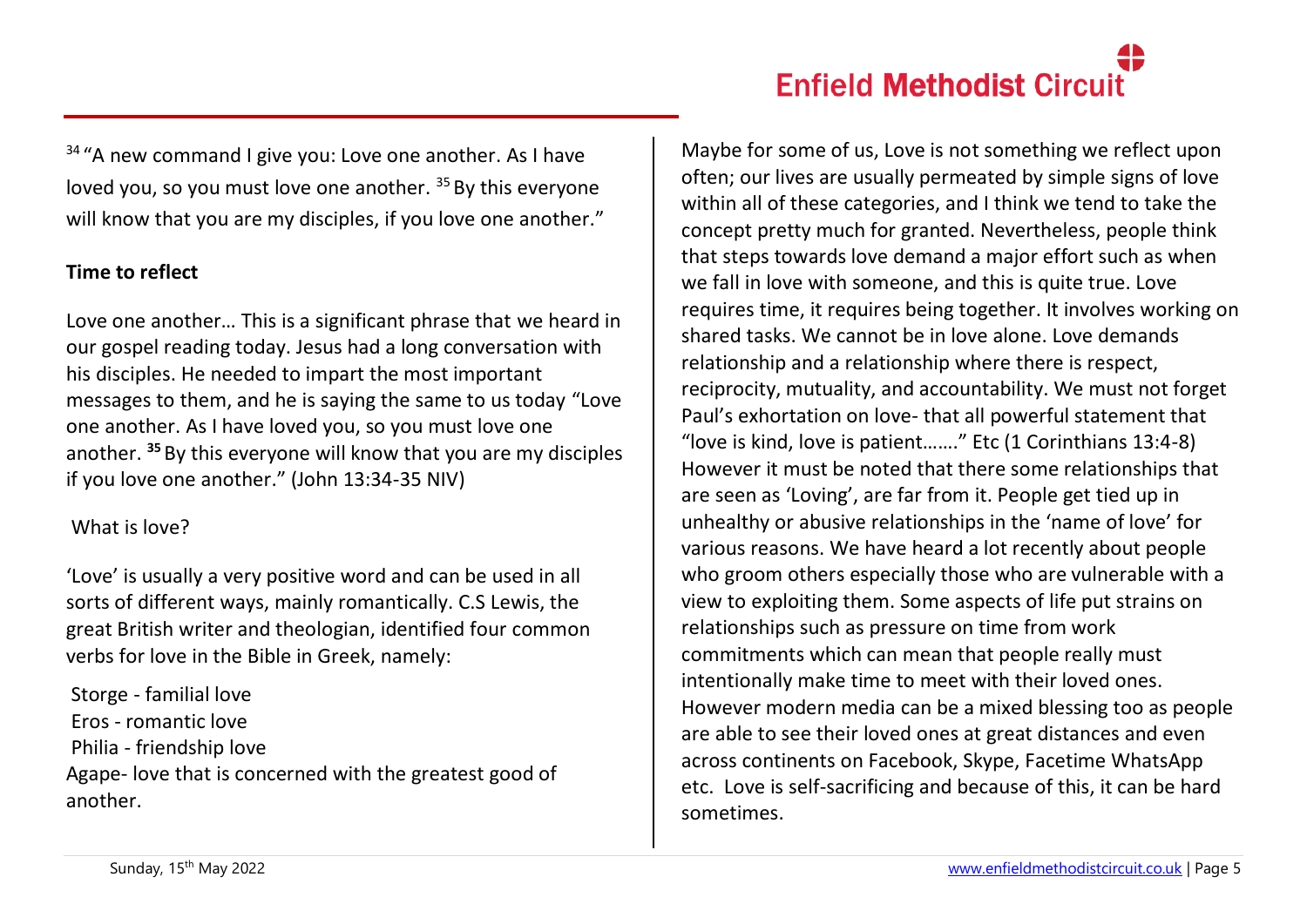$34$  "A new command I give you: Love one another. As I have loved you, so you must love one another. <sup>35</sup> By this everyone will know that you are my disciples, if you love one another."

## **Time to reflect**

Love one another… This is a significant phrase that we heard in our gospel reading today. Jesus had a long conversation with his disciples. He needed to impart the most important messages to them, and he is saying the same to us today "Love one another. As I have loved you, so you must love one another. **<sup>35</sup>** By this everyone will know that you are my disciples if you love one another." (John 13:34-35 NIV)

## What is love?

'Love' is usually a very positive word and can be used in all sorts of different ways, mainly romantically. C.S Lewis, the great British writer and theologian, identified four common verbs for love in the Bible in Greek, namely:

Storge - familial love Eros - romantic love Philia - friendship love Agape- love that is concerned with the greatest good of another.

Maybe for some of us, Love is not something we reflect upon often; our lives are usually permeated by simple signs of love within all of these categories, and I think we tend to take the concept pretty much for granted. Nevertheless, people think that steps towards love demand a major effort such as when we fall in love with someone, and this is quite true. Love requires time, it requires being together. It involves working on shared tasks. We cannot be in love alone. Love demands relationship and a relationship where there is respect, reciprocity, mutuality, and accountability. We must not forget Paul's exhortation on love- that all powerful statement that "love is kind, love is patient……." Etc (1 Corinthians 13:4-8) However it must be noted that there some relationships that are seen as 'Loving', are far from it. People get tied up in unhealthy or abusive relationships in the 'name of love' for various reasons. We have heard a lot recently about people who groom others especially those who are vulnerable with a view to exploiting them. Some aspects of life put strains on relationships such as pressure on time from work commitments which can mean that people really must intentionally make time to meet with their loved ones. However modern media can be a mixed blessing too as people are able to see their loved ones at great distances and even across continents on Facebook, Skype, Facetime WhatsApp etc. Love is self-sacrificing and because of this, it can be hard sometimes.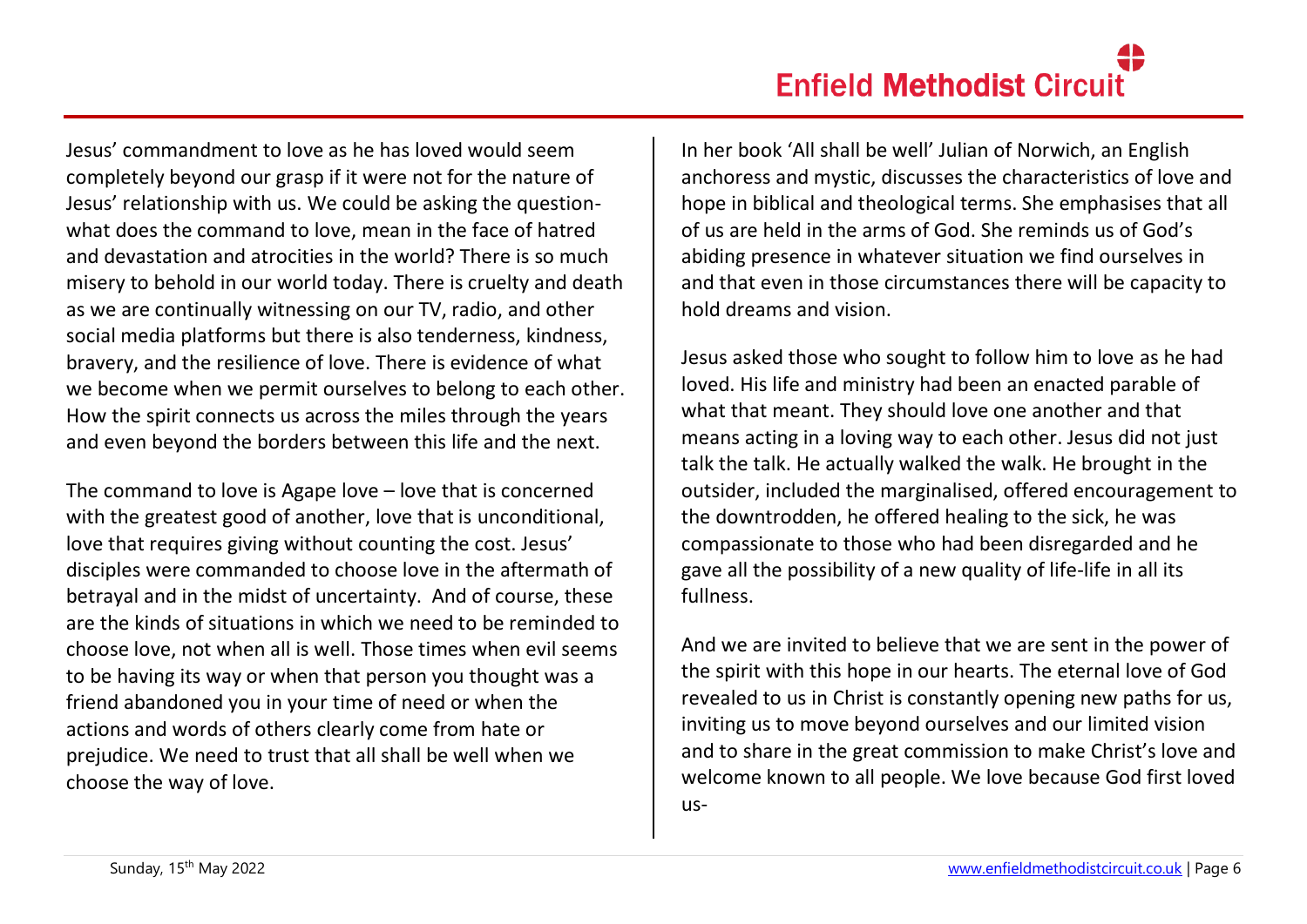Jesus' commandment to love as he has loved would seem completely beyond our grasp if it were not for the nature of Jesus' relationship with us. We could be asking the questionwhat does the command to love, mean in the face of hatred and devastation and atrocities in the world? There is so much misery to behold in our world today. There is cruelty and death as we are continually witnessing on our TV, radio, and other social media platforms but there is also tenderness, kindness, bravery, and the resilience of love. There is evidence of what we become when we permit ourselves to belong to each other. How the spirit connects us across the miles through the years and even beyond the borders between this life and the next.

The command to love is Agape love – love that is concerned with the greatest good of another, love that is unconditional, love that requires giving without counting the cost. Jesus' disciples were commanded to choose love in the aftermath of betrayal and in the midst of uncertainty. And of course, these are the kinds of situations in which we need to be reminded to choose love, not when all is well. Those times when evil seems to be having its way or when that person you thought was a friend abandoned you in your time of need or when the actions and words of others clearly come from hate or prejudice. We need to trust that all shall be well when we choose the way of love.

In her book 'All shall be well' Julian of Norwich, an English anchoress and mystic, discusses the characteristics of love and hope in biblical and theological terms. She emphasises that all of us are held in the arms of God. She reminds us of God's abiding presence in whatever situation we find ourselves in and that even in those circumstances there will be capacity to hold dreams and vision.

Jesus asked those who sought to follow him to love as he had loved. His life and ministry had been an enacted parable of what that meant. They should love one another and that means acting in a loving way to each other. Jesus did not just talk the talk. He actually walked the walk. He brought in the outsider, included the marginalised, offered encouragement to the downtrodden, he offered healing to the sick, he was compassionate to those who had been disregarded and he gave all the possibility of a new quality of life-life in all its fullness.

And we are invited to believe that we are sent in the power of the spirit with this hope in our hearts. The eternal love of God revealed to us in Christ is constantly opening new paths for us, inviting us to move beyond ourselves and our limited vision and to share in the great commission to make Christ's love and welcome known to all people. We love because God first loved us-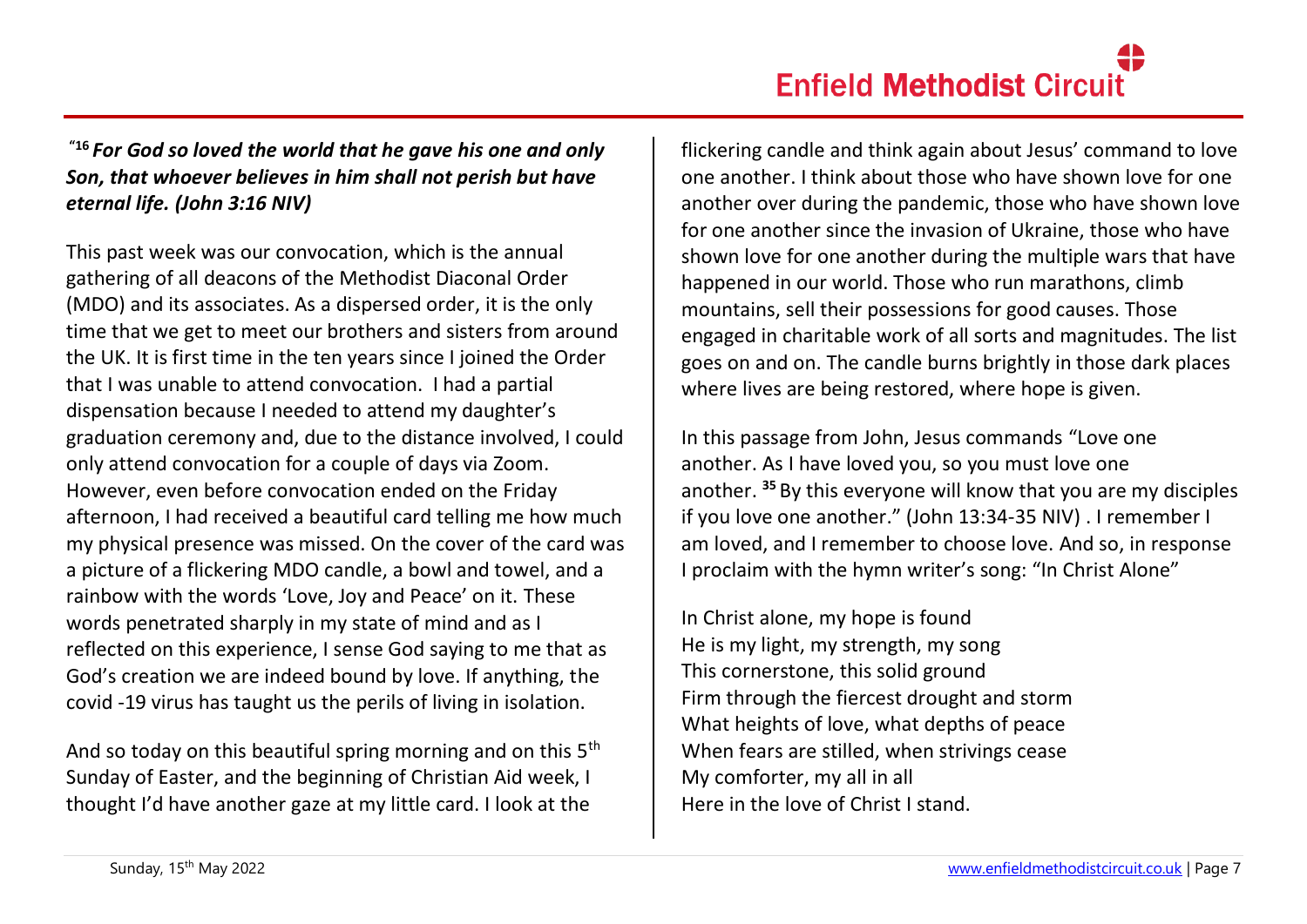# **"16** *For God so loved the world that he gave his one and only Son, that whoever believes in him shall not perish but have eternal life. (John 3:16 NIV)*

This past week was our convocation, which is the annual gathering of all deacons of the Methodist Diaconal Order (MDO) and its associates. As a dispersed order, it is the only time that we get to meet our brothers and sisters from around the UK. It is first time in the ten years since I joined the Order that I was unable to attend convocation. I had a partial dispensation because I needed to attend my daughter's graduation ceremony and, due to the distance involved, I could only attend convocation for a couple of days via Zoom. However, even before convocation ended on the Friday afternoon, I had received a beautiful card telling me how much my physical presence was missed. On the cover of the card was a picture of a flickering MDO candle, a bowl and towel, and a rainbow with the words 'Love, Joy and Peace' on it. These words penetrated sharply in my state of mind and as I reflected on this experience, I sense God saying to me that as God's creation we are indeed bound by love. If anything, the covid -19 virus has taught us the perils of living in isolation.

And so today on this beautiful spring morning and on this 5<sup>th</sup> Sunday of Easter, and the beginning of Christian Aid week, I thought I'd have another gaze at my little card. I look at the

flickering candle and think again about Jesus' command to love one another. I think about those who have shown love for one another over during the pandemic, those who have shown love for one another since the invasion of Ukraine, those who have shown love for one another during the multiple wars that have happened in our world. Those who run marathons, climb mountains, sell their possessions for good causes. Those engaged in charitable work of all sorts and magnitudes. The list goes on and on. The candle burns brightly in those dark places where lives are being restored, where hope is given.

In this passage from John, Jesus commands "Love one another. As I have loved you, so you must love one another. **<sup>35</sup>** By this everyone will know that you are my disciples if you love one another." (John 13:34-35 NIV) . I remember I am loved, and I remember to choose love. And so, in response I proclaim with the hymn writer's song: "In Christ Alone"

In Christ alone, my hope is found He is my light, my strength, my song This cornerstone, this solid ground Firm through the fiercest drought and storm What heights of love, what depths of peace When fears are stilled, when strivings cease My comforter, my all in all Here in the love of Christ I stand.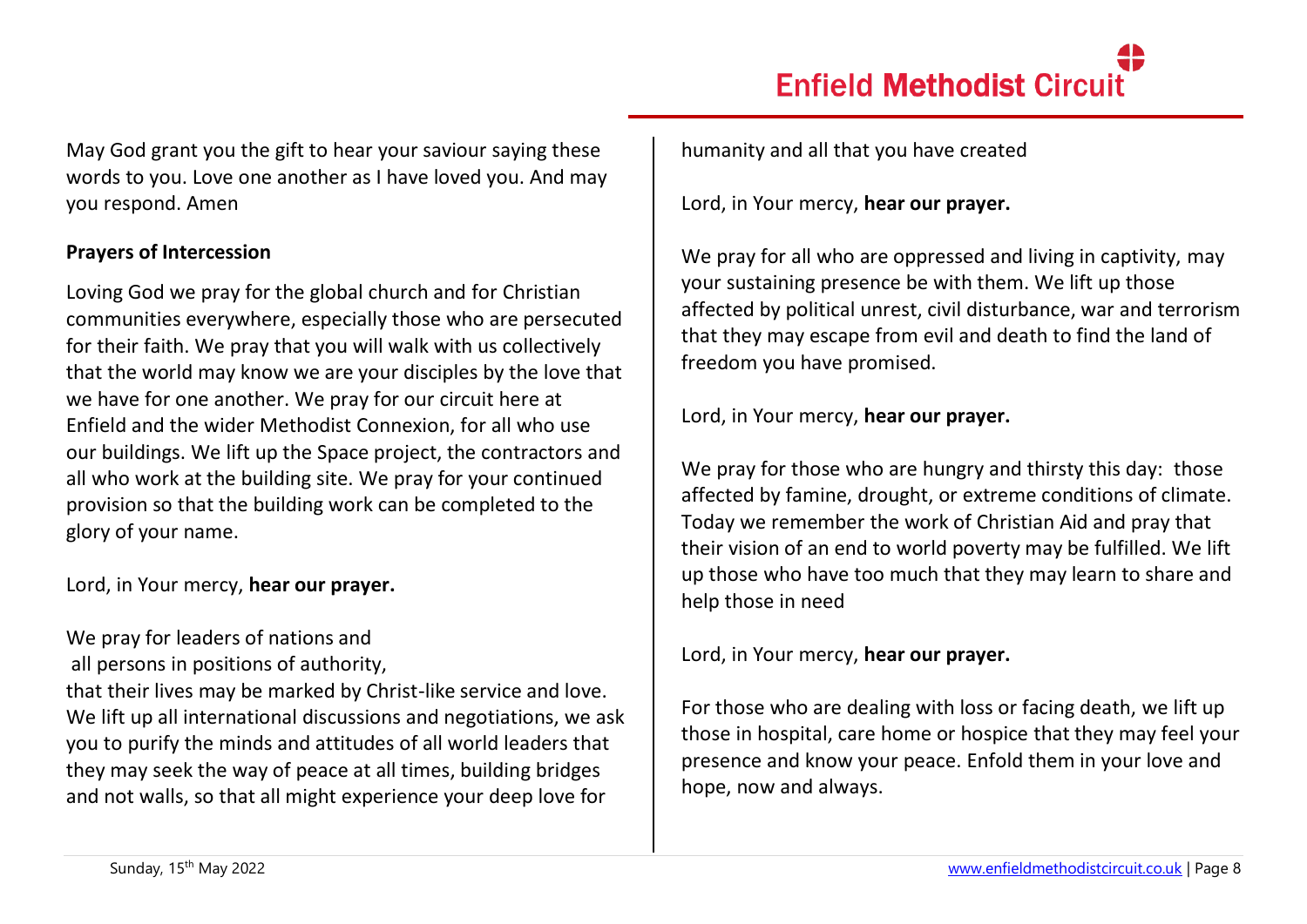May God grant you the gift to hear your saviour saying these words to you. Love one another as I have loved you. And may you respond. Amen

## **Prayers of Intercession**

Loving God we pray for the global church and for Christian communities everywhere, especially those who are persecuted for their faith. We pray that you will walk with us collectively that the world may know we are your disciples by the love that we have for one another. We pray for our circuit here at Enfield and the wider Methodist Connexion, for all who use our buildings. We lift up the Space project, the contractors and all who work at the building site. We pray for your continued provision so that the building work can be completed to the glory of your name.

Lord, in Your mercy, **hear our prayer.**

# We pray for leaders of nations and

all persons in positions of authority,

that their lives may be marked by Christ-like service and love. We lift up all international discussions and negotiations, we ask you to purify the minds and attitudes of all world leaders that they may seek the way of peace at all times, building bridges and not walls, so that all might experience your deep love for

humanity and all that you have created

Lord, in Your mercy, **hear our prayer.**

We pray for all who are oppressed and living in captivity, may your sustaining presence be with them. We lift up those affected by political unrest, civil disturbance, war and terrorism that they may escape from evil and death to find the land of freedom you have promised.

Lord, in Your mercy, **hear our prayer.**

We pray for those who are hungry and thirsty this day: those affected by famine, drought, or extreme conditions of climate. Today we remember the work of Christian Aid and pray that their vision of an end to world poverty may be fulfilled. We lift up those who have too much that they may learn to share and help those in need

Lord, in Your mercy, **hear our prayer.**

For those who are dealing with loss or facing death, we lift up those in hospital, care home or hospice that they may feel your presence and know your peace. Enfold them in your love and hope, now and always.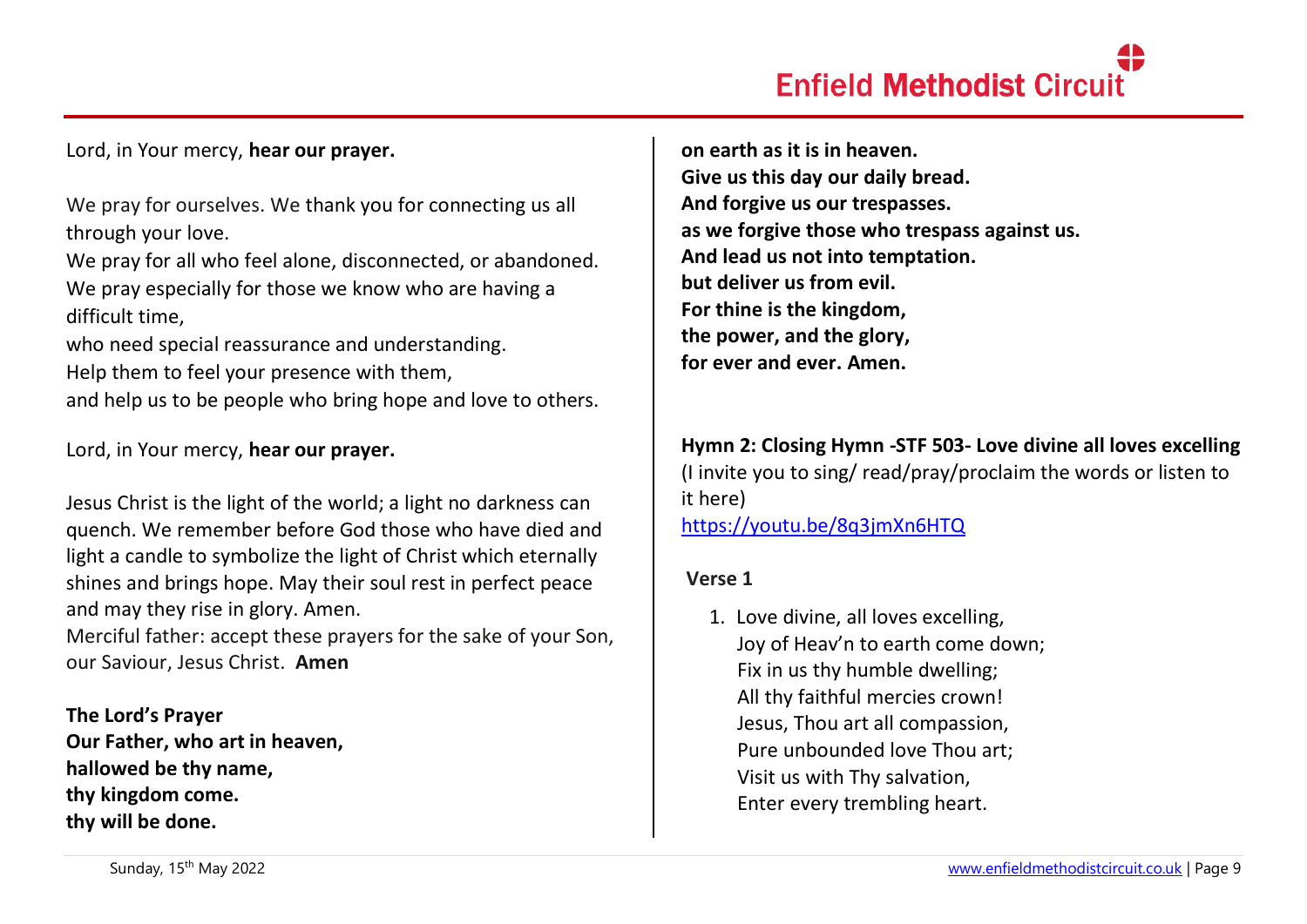### Lord, in Your mercy, **hear our prayer.**

We pray for ourselves. We thank you for connecting us all through your love.

We pray for all who feel alone, disconnected, or abandoned. We pray especially for those we know who are having a difficult time,

who need special reassurance and understanding. Help them to feel your presence with them,

and help us to be people who bring hope and love to others.

Lord, in Your mercy, **hear our prayer.**

Jesus Christ is the light of the world; a light no darkness can quench. We remember before God those who have died and light a candle to symbolize the light of Christ which eternally shines and brings hope. May their soul rest in perfect peace and may they rise in glory. Amen.

Merciful father: accept these prayers for the sake of your Son, our Saviour, Jesus Christ. **Amen**

**The Lord's Prayer Our Father, who art in heaven, hallowed be thy name, thy kingdom come. thy will be done.** 

**on earth as it is in heaven. Give us this day our daily bread. And forgive us our trespasses. as we forgive those who trespass against us. And lead us not into temptation. but deliver us from evil. For thine is the kingdom, the power, and the glory, for ever and ever. Amen.**

## **Hymn 2: Closing Hymn -STF 503- Love divine all loves excelling** (I invite you to sing/ read/pray/proclaim the words or listen to

it here)

<https://youtu.be/8q3jmXn6HTQ>

### **Verse 1**

1. Love divine, all loves excelling, Joy of Heav'n to earth come down; Fix in us thy humble dwelling; All thy faithful mercies crown! Jesus, Thou art all compassion, Pure unbounded love Thou art; Visit us with Thy salvation, Enter every trembling heart.